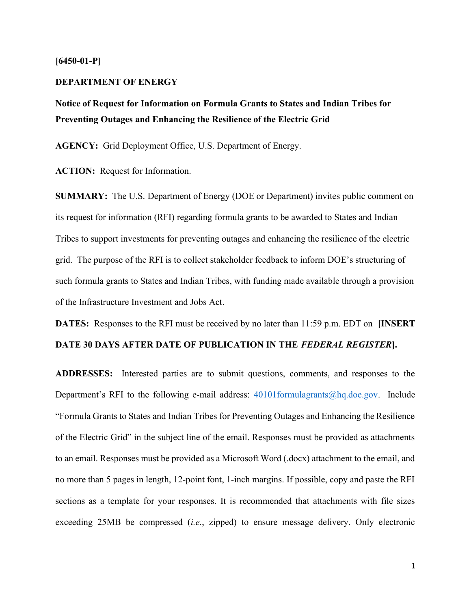### $[6450-01-P]$

#### DEPARTMENT OF ENERGY

Notice of Request for Information on Formula Grants to States and Indian Tribes for Preventing Outages and Enhancing the Resilience of the Electric Grid

AGENCY: Grid Deployment Office, U.S. Department of Energy.

ACTION: Request for Information.

SUMMARY: The U.S. Department of Energy (DOE or Department) invites public comment on its request for information (RFI) regarding formula grants to be awarded to States and Indian Tribes to support investments for preventing outages and enhancing the resilience of the electric grid. The purpose of the RFI is to collect stakeholder feedback to inform DOE's structuring of such formula grants to States and Indian Tribes, with funding made available through a provision of the Infrastructure Investment and Jobs Act.

DATES: Responses to the RFI must be received by no later than 11:59 p.m. EDT on [INSERT]

# DATE 30 DAYS AFTER DATE OF PUBLICATION IN THE FEDERAL REGISTER].

ADDRESSES: Interested parties are to submit questions, comments, and responses to the Department's RFI to the following e-mail address:  $40101$  formulagrants  $@$  hq.doe.gov. Include "Formula Grants to States and Indian Tribes for Preventing Outages and Enhancing the Resilience of the Electric Grid" in the subject line of the email. Responses must be provided as attachments to an email. Responses must be provided as a Microsoft Word (.docx) attachment to the email, and no more than 5 pages in length, 12-point font, 1-inch margins. If possible, copy and paste the RFI sections as a template for your responses. It is recommended that attachments with file sizes exceeding 25MB be compressed (*i.e.*, zipped) to ensure message delivery. Only electronic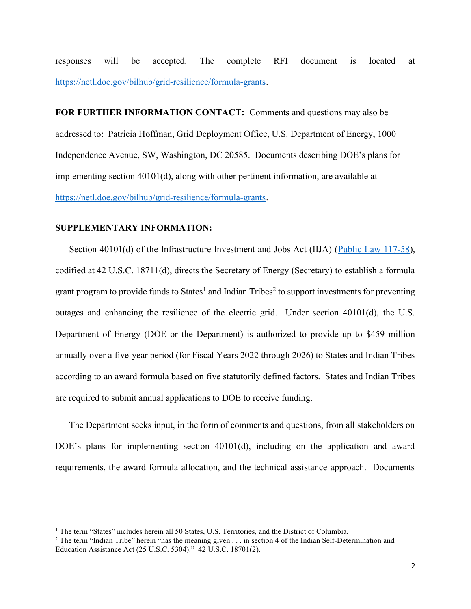responses will be accepted. The complete RFI document is located at https://netl.doe.gov/bilhub/grid-resilience/formula-grants.

FOR FURTHER INFORMATION CONTACT: Comments and questions may also be addressed to: Patricia Hoffman, Grid Deployment Office, U.S. Department of Energy, 1000 Independence Avenue, SW, Washington, DC 20585. Documents describing DOE's plans for implementing section 40101(d), along with other pertinent information, are available at https://netl.doe.gov/bilhub/grid-resilience/formula-grants.

### SUPPLEMENTARY INFORMATION:

Section 40101(d) of the Infrastructure Investment and Jobs Act (IIJA) (Public Law 117-58), codified at 42 U.S.C. 18711(d), directs the Secretary of Energy (Secretary) to establish a formula grant program to provide funds to States<sup>1</sup> and Indian Tribes<sup>2</sup> to support investments for preventing outages and enhancing the resilience of the electric grid. Under section 40101(d), the U.S. Department of Energy (DOE or the Department) is authorized to provide up to \$459 million annually over a five-year period (for Fiscal Years 2022 through 2026) to States and Indian Tribes according to an award formula based on five statutorily defined factors. States and Indian Tribes are required to submit annual applications to DOE to receive funding.

The Department seeks input, in the form of comments and questions, from all stakeholders on DOE's plans for implementing section 40101(d), including on the application and award requirements, the award formula allocation, and the technical assistance approach. Documents

<sup>&</sup>lt;sup>1</sup> The term "States" includes herein all 50 States, U.S. Territories, and the District of Columbia.

<sup>&</sup>lt;sup>2</sup> The term "Indian Tribe" herein "has the meaning given  $\dots$  in section 4 of the Indian Self-Determination and Education Assistance Act (25 U.S.C. 5304)." 42 U.S.C. 18701(2).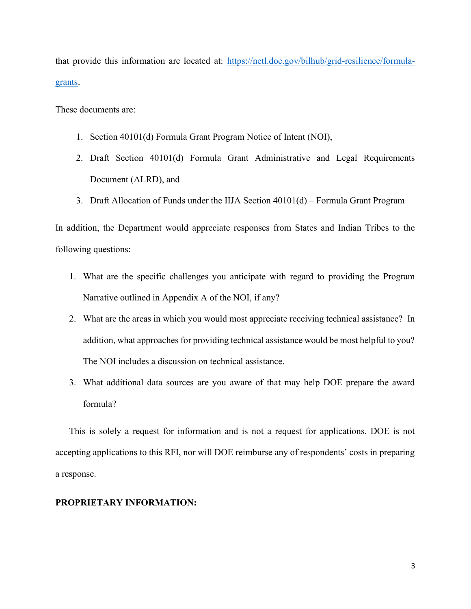that provide this information are located at: https://netl.doe.gov/bilhub/grid-resilience/formulagrants.

These documents are:

- 1. Section 40101(d) Formula Grant Program Notice of Intent (NOI),
- 2. Draft Section 40101(d) Formula Grant Administrative and Legal Requirements Document (ALRD), and
- 3. Draft Allocation of Funds under the IIJA Section 40101(d) Formula Grant Program

In addition, the Department would appreciate responses from States and Indian Tribes to the following questions:

- 1. What are the specific challenges you anticipate with regard to providing the Program Narrative outlined in Appendix A of the NOI, if any?
- 2. What are the areas in which you would most appreciate receiving technical assistance? In addition, what approaches for providing technical assistance would be most helpful to you? The NOI includes a discussion on technical assistance.
- 3. What additional data sources are you aware of that may help DOE prepare the award formula?

This is solely a request for information and is not a request for applications. DOE is not accepting applications to this RFI, nor will DOE reimburse any of respondents' costs in preparing a response.

### PROPRIETARY INFORMATION: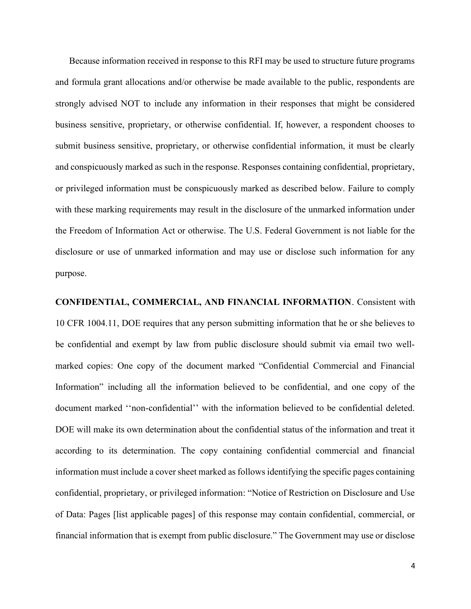Because information received in response to this RFI may be used to structure future programs and formula grant allocations and/or otherwise be made available to the public, respondents are strongly advised NOT to include any information in their responses that might be considered business sensitive, proprietary, or otherwise confidential. If, however, a respondent chooses to submit business sensitive, proprietary, or otherwise confidential information, it must be clearly and conspicuously marked as such in the response. Responses containing confidential, proprietary, or privileged information must be conspicuously marked as described below. Failure to comply with these marking requirements may result in the disclosure of the unmarked information under the Freedom of Information Act or otherwise. The U.S. Federal Government is not liable for the disclosure or use of unmarked information and may use or disclose such information for any purpose.

CONFIDENTIAL, COMMERCIAL, AND FINANCIAL INFORMATION. Consistent with 10 CFR 1004.11, DOE requires that any person submitting information that he or she believes to be confidential and exempt by law from public disclosure should submit via email two wellmarked copies: One copy of the document marked "Confidential Commercial and Financial Information" including all the information believed to be confidential, and one copy of the document marked ''non-confidential'' with the information believed to be confidential deleted. DOE will make its own determination about the confidential status of the information and treat it according to its determination. The copy containing confidential commercial and financial information must include a cover sheet marked as follows identifying the specific pages containing confidential, proprietary, or privileged information: "Notice of Restriction on Disclosure and Use of Data: Pages [list applicable pages] of this response may contain confidential, commercial, or financial information that is exempt from public disclosure." The Government may use or disclose